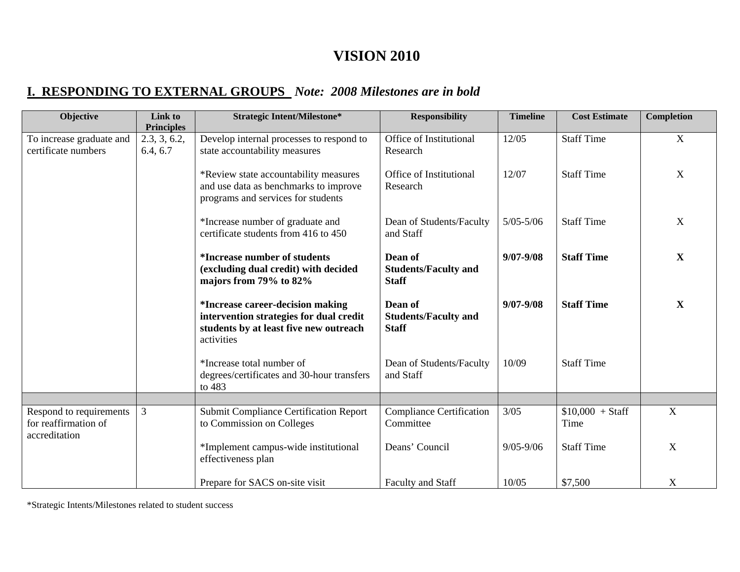# **VISION 2010**

## **I. RESPONDING TO EXTERNAL GROUPS** *Note: 2008 Milestones are in bold*

| Objective                                                        | Link to<br><b>Principles</b> | <b>Strategic Intent/Milestone*</b>                                                                                                         | <b>Responsibility</b>                                  | <b>Timeline</b> | <b>Cost Estimate</b>      | Completion  |
|------------------------------------------------------------------|------------------------------|--------------------------------------------------------------------------------------------------------------------------------------------|--------------------------------------------------------|-----------------|---------------------------|-------------|
| To increase graduate and<br>certificate numbers                  | 2.3, 3, 6.2,<br>6.4, 6.7     | Develop internal processes to respond to<br>state accountability measures                                                                  | Office of Institutional<br>Research                    | 12/05           | <b>Staff Time</b>         | X           |
|                                                                  |                              | *Review state accountability measures<br>and use data as benchmarks to improve<br>programs and services for students                       | Office of Institutional<br>Research                    | 12/07           | <b>Staff Time</b>         | X           |
|                                                                  |                              | *Increase number of graduate and<br>certificate students from 416 to 450                                                                   | Dean of Students/Faculty<br>and Staff                  | $5/05 - 5/06$   | <b>Staff Time</b>         | X           |
|                                                                  |                              | <i>*Increase number of students</i><br>(excluding dual credit) with decided<br>majors from 79% to 82%                                      | Dean of<br><b>Students/Faculty and</b><br><b>Staff</b> | $9/07 - 9/08$   | <b>Staff Time</b>         | X           |
|                                                                  |                              | <i>*Increase career-decision making</i><br>intervention strategies for dual credit<br>students by at least five new outreach<br>activities | Dean of<br><b>Students/Faculty and</b><br><b>Staff</b> | $9/07 - 9/08$   | <b>Staff Time</b>         | $\mathbf X$ |
|                                                                  |                              | *Increase total number of<br>degrees/certificates and 30-hour transfers<br>to 483                                                          | Dean of Students/Faculty<br>and Staff                  | 10/09           | <b>Staff Time</b>         |             |
|                                                                  |                              |                                                                                                                                            |                                                        |                 |                           |             |
| Respond to requirements<br>for reaffirmation of<br>accreditation | $\mathfrak{Z}$               | <b>Submit Compliance Certification Report</b><br>to Commission on Colleges                                                                 | <b>Compliance Certification</b><br>Committee           | $3/05$          | $$10,000 + Staff$<br>Time | $\mathbf X$ |
|                                                                  |                              | *Implement campus-wide institutional<br>effectiveness plan                                                                                 | Deans' Council                                         | $9/05 - 9/06$   | <b>Staff Time</b>         | X           |
|                                                                  |                              | Prepare for SACS on-site visit                                                                                                             | Faculty and Staff                                      | 10/05           | \$7,500                   | $\mathbf X$ |

\*Strategic Intents/Milestones related to student success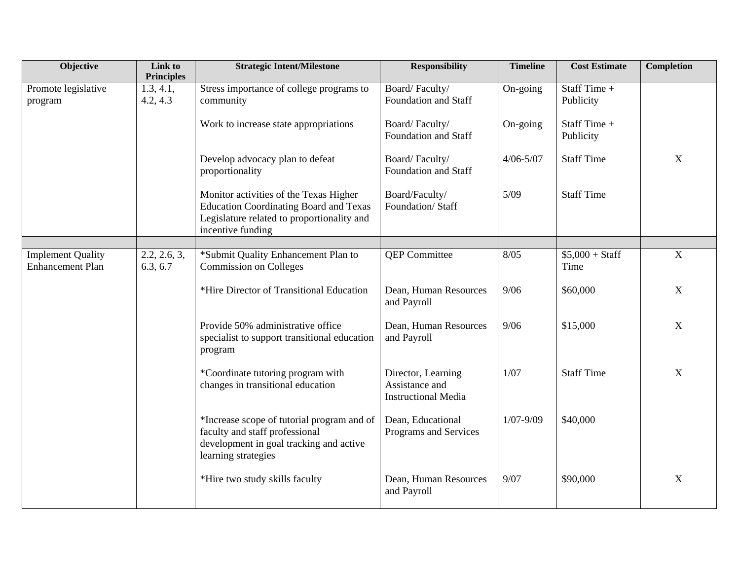| Objective                                           | Link to<br><b>Principles</b> | <b>Strategic Intent/Milestone</b>                                                                                                                          | <b>Responsibility</b>                                              | <b>Timeline</b> | <b>Cost Estimate</b>      | <b>Completion</b>         |
|-----------------------------------------------------|------------------------------|------------------------------------------------------------------------------------------------------------------------------------------------------------|--------------------------------------------------------------------|-----------------|---------------------------|---------------------------|
| Promote legislative<br>program                      | 1.3, 4.1,<br>4.2, 4.3        | Stress importance of college programs to<br>community                                                                                                      | Board/Faculty/<br>Foundation and Staff                             | On-going        | Staff Time +<br>Publicity |                           |
|                                                     |                              | Work to increase state appropriations                                                                                                                      | Board/Faculty/<br>Foundation and Staff                             | On-going        | Staff Time +<br>Publicity |                           |
|                                                     |                              | Develop advocacy plan to defeat<br>proportionality                                                                                                         | Board/Faculty/<br>Foundation and Staff                             | $4/06 - 5/07$   | <b>Staff Time</b>         | X                         |
|                                                     |                              | Monitor activities of the Texas Higher<br><b>Education Coordinating Board and Texas</b><br>Legislature related to proportionality and<br>incentive funding | Board/Faculty/<br>Foundation/Staff                                 | 5/09            | <b>Staff Time</b>         |                           |
|                                                     |                              |                                                                                                                                                            |                                                                    |                 |                           |                           |
| <b>Implement Quality</b><br><b>Enhancement Plan</b> | 2.2, 2.6, 3,<br>6.3, 6.7     | *Submit Quality Enhancement Plan to<br><b>Commission on Colleges</b>                                                                                       | <b>QEP</b> Committee                                               | 8/05            | $$5,000 + Staff$<br>Time  | $\overline{X}$            |
|                                                     |                              | *Hire Director of Transitional Education                                                                                                                   | Dean, Human Resources<br>and Payroll                               | 9/06            | \$60,000                  | $\mathbf X$               |
|                                                     |                              | Provide 50% administrative office<br>specialist to support transitional education<br>program                                                               | Dean, Human Resources<br>and Payroll                               | 9/06            | \$15,000                  | $\boldsymbol{X}$          |
|                                                     |                              | *Coordinate tutoring program with<br>changes in transitional education                                                                                     | Director, Learning<br>Assistance and<br><b>Instructional Media</b> | 1/07            | <b>Staff Time</b>         | X                         |
|                                                     |                              | *Increase scope of tutorial program and of<br>faculty and staff professional<br>development in goal tracking and active<br>learning strategies             | Dean, Educational<br>Programs and Services                         | $1/07 - 9/09$   | \$40,000                  |                           |
|                                                     |                              | *Hire two study skills faculty                                                                                                                             | Dean, Human Resources<br>and Payroll                               | 9/07            | \$90,000                  | $\boldsymbol{\mathrm{X}}$ |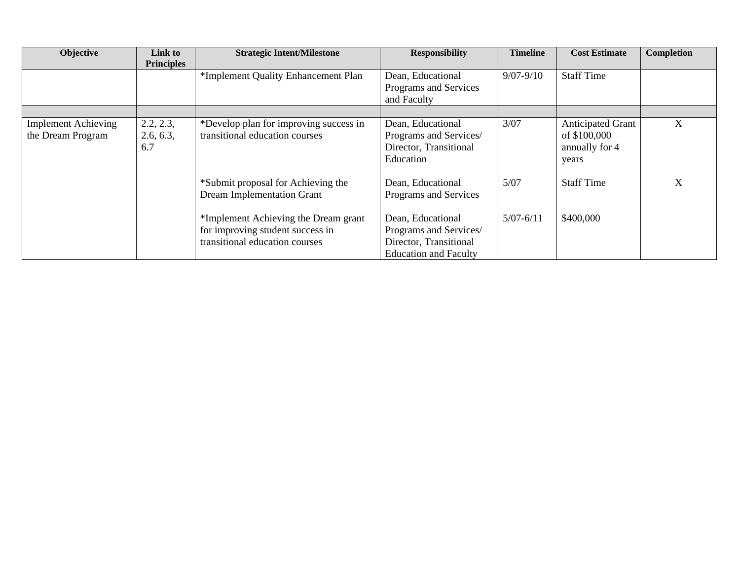| Objective                                       | Link to<br><b>Principles</b>  | <b>Strategic Intent/Milestone</b>                                                                          | <b>Responsibility</b>                                                                                 | <b>Timeline</b> | <b>Cost Estimate</b>                                                | <b>Completion</b> |
|-------------------------------------------------|-------------------------------|------------------------------------------------------------------------------------------------------------|-------------------------------------------------------------------------------------------------------|-----------------|---------------------------------------------------------------------|-------------------|
|                                                 |                               | *Implement Quality Enhancement Plan                                                                        | Dean, Educational<br>Programs and Services<br>and Faculty                                             | $9/07 - 9/10$   | <b>Staff Time</b>                                                   |                   |
| <b>Implement Achieving</b><br>the Dream Program | 2.2, 2.3,<br>2.6, 6.3,<br>6.7 | *Develop plan for improving success in<br>transitional education courses                                   | Dean, Educational<br>Programs and Services/<br>Director, Transitional<br>Education                    | 3/07            | <b>Anticipated Grant</b><br>of \$100,000<br>annually for 4<br>years | X                 |
|                                                 |                               | *Submit proposal for Achieving the<br><b>Dream Implementation Grant</b>                                    | Dean, Educational<br>Programs and Services                                                            | 5/07            | <b>Staff Time</b>                                                   | X                 |
|                                                 |                               | *Implement Achieving the Dream grant<br>for improving student success in<br>transitional education courses | Dean, Educational<br>Programs and Services/<br>Director, Transitional<br><b>Education and Faculty</b> | $5/07 - 6/11$   | \$400,000                                                           |                   |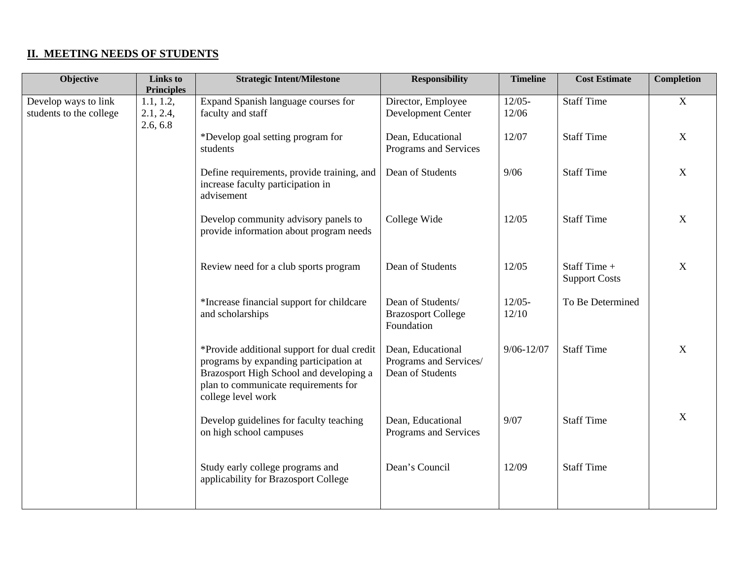#### **II. MEETING NEEDS OF STUDENTS**

| Objective                                       | <b>Links</b> to<br><b>Principles</b> | <b>Strategic Intent/Milestone</b>                                                                                                                                                              | <b>Responsibility</b>                                           | <b>Timeline</b>    | <b>Cost Estimate</b>                 | <b>Completion</b>         |
|-------------------------------------------------|--------------------------------------|------------------------------------------------------------------------------------------------------------------------------------------------------------------------------------------------|-----------------------------------------------------------------|--------------------|--------------------------------------|---------------------------|
| Develop ways to link<br>students to the college | 1.1, 1.2,<br>2.1, 2.4,<br>2.6, 6.8   | Expand Spanish language courses for<br>faculty and staff                                                                                                                                       | Director, Employee<br>Development Center                        | $12/05 -$<br>12/06 | <b>Staff Time</b>                    | $\boldsymbol{\mathrm{X}}$ |
|                                                 |                                      | *Develop goal setting program for<br>students                                                                                                                                                  | Dean, Educational<br>Programs and Services                      | 12/07              | <b>Staff Time</b>                    | X                         |
|                                                 |                                      | Define requirements, provide training, and<br>increase faculty participation in<br>advisement                                                                                                  | Dean of Students                                                | 9/06               | <b>Staff Time</b>                    | $\mathbf{X}$              |
|                                                 |                                      | Develop community advisory panels to<br>provide information about program needs                                                                                                                | College Wide                                                    | 12/05              | <b>Staff Time</b>                    | $\mathbf{X}$              |
|                                                 |                                      | Review need for a club sports program                                                                                                                                                          | Dean of Students                                                | 12/05              | Staff Time +<br><b>Support Costs</b> | $\mathbf X$               |
|                                                 |                                      | *Increase financial support for childcare<br>and scholarships                                                                                                                                  | Dean of Students/<br><b>Brazosport College</b><br>Foundation    | $12/05 -$<br>12/10 | To Be Determined                     |                           |
|                                                 |                                      | *Provide additional support for dual credit<br>programs by expanding participation at<br>Brazosport High School and developing a<br>plan to communicate requirements for<br>college level work | Dean, Educational<br>Programs and Services/<br>Dean of Students | $9/06 - 12/07$     | <b>Staff Time</b>                    | X                         |
|                                                 |                                      | Develop guidelines for faculty teaching<br>on high school campuses                                                                                                                             | Dean, Educational<br>Programs and Services                      | 9/07               | <b>Staff Time</b>                    | $\overline{X}$            |
|                                                 |                                      | Study early college programs and<br>applicability for Brazosport College                                                                                                                       | Dean's Council                                                  | 12/09              | <b>Staff Time</b>                    |                           |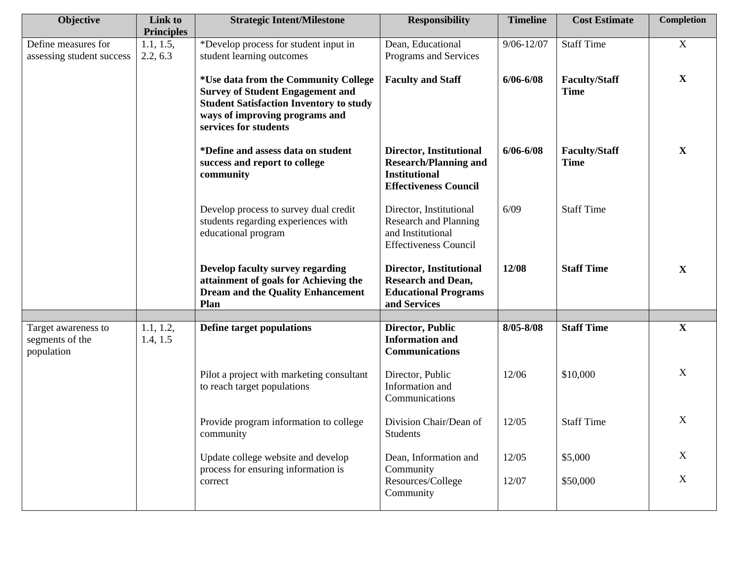| Objective                                        | Link to<br><b>Principles</b> | <b>Strategic Intent/Milestone</b>                                                                                                                                                            | <b>Responsibility</b>                                                                                           | <b>Timeline</b> | <b>Cost Estimate</b>                | Completion                |
|--------------------------------------------------|------------------------------|----------------------------------------------------------------------------------------------------------------------------------------------------------------------------------------------|-----------------------------------------------------------------------------------------------------------------|-----------------|-------------------------------------|---------------------------|
| Define measures for<br>assessing student success | 1.1, 1.5,<br>2.2, 6.3        | *Develop process for student input in<br>student learning outcomes                                                                                                                           | Dean, Educational<br>Programs and Services                                                                      | $9/06 - 12/07$  | <b>Staff Time</b>                   | $\mathbf X$               |
|                                                  |                              | *Use data from the Community College<br><b>Survey of Student Engagement and</b><br><b>Student Satisfaction Inventory to study</b><br>ways of improving programs and<br>services for students | <b>Faculty and Staff</b>                                                                                        | $6/06 - 6/08$   | <b>Faculty/Staff</b><br><b>Time</b> | $\mathbf{X}$              |
|                                                  |                              | *Define and assess data on student<br>success and report to college<br>community                                                                                                             | Director, Institutional<br><b>Research/Planning and</b><br><b>Institutional</b><br><b>Effectiveness Council</b> | $6/06 - 6/08$   | <b>Faculty/Staff</b><br><b>Time</b> | $\mathbf X$               |
|                                                  |                              | Develop process to survey dual credit<br>students regarding experiences with<br>educational program                                                                                          | Director, Institutional<br>Research and Planning<br>and Institutional<br><b>Effectiveness Council</b>           | 6/09            | <b>Staff Time</b>                   |                           |
|                                                  |                              | <b>Develop faculty survey regarding</b><br>attainment of goals for Achieving the<br><b>Dream and the Quality Enhancement</b><br>Plan                                                         | Director, Institutional<br><b>Research and Dean,</b><br><b>Educational Programs</b><br>and Services             | 12/08           | <b>Staff Time</b>                   | $\mathbf{X}$              |
| Target awareness to                              | 1.1, 1.2,                    | <b>Define target populations</b>                                                                                                                                                             | <b>Director, Public</b>                                                                                         | 8/05-8/08       | <b>Staff Time</b>                   | $\mathbf X$               |
| segments of the<br>population                    | 1.4, 1.5                     |                                                                                                                                                                                              | <b>Information and</b><br><b>Communications</b>                                                                 |                 |                                     |                           |
|                                                  |                              | Pilot a project with marketing consultant<br>to reach target populations                                                                                                                     | Director, Public<br>Information and<br>Communications                                                           | 12/06           | \$10,000                            | X                         |
|                                                  |                              | Provide program information to college<br>community                                                                                                                                          | Division Chair/Dean of<br>Students                                                                              | 12/05           | <b>Staff Time</b>                   | $\mathbf X$               |
|                                                  |                              | Update college website and develop                                                                                                                                                           | Dean, Information and                                                                                           | 12/05           | \$5,000                             | X                         |
|                                                  |                              | process for ensuring information is<br>correct                                                                                                                                               | Community<br>Resources/College<br>Community                                                                     | 12/07           | \$50,000                            | $\boldsymbol{\mathrm{X}}$ |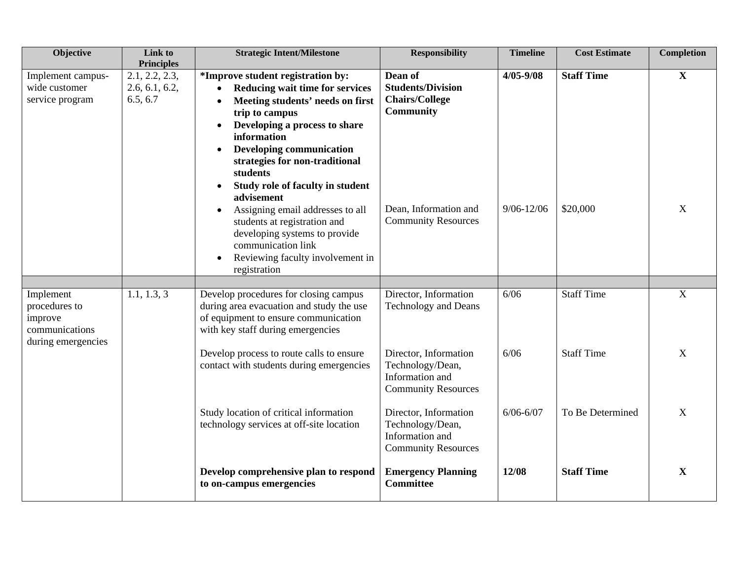| Objective                                                                     | Link to<br><b>Principles</b>                 | <b>Strategic Intent/Milestone</b>                                                                                                                                                                                                                                                                                                                                                                                                                                                                         | <b>Responsibility</b>                                                                                                                   | <b>Timeline</b>                 | <b>Cost Estimate</b>          | Completion        |
|-------------------------------------------------------------------------------|----------------------------------------------|-----------------------------------------------------------------------------------------------------------------------------------------------------------------------------------------------------------------------------------------------------------------------------------------------------------------------------------------------------------------------------------------------------------------------------------------------------------------------------------------------------------|-----------------------------------------------------------------------------------------------------------------------------------------|---------------------------------|-------------------------------|-------------------|
| Implement campus-<br>wide customer<br>service program                         | 2.1, 2.2, 2.3,<br>2.6, 6.1, 6.2,<br>6.5, 6.7 | *Improve student registration by:<br>Reducing wait time for services<br>Meeting students' needs on first<br>trip to campus<br>Developing a process to share<br>information<br><b>Developing communication</b><br>$\bullet$<br>strategies for non-traditional<br>students<br>Study role of faculty in student<br>advisement<br>Assigning email addresses to all<br>students at registration and<br>developing systems to provide<br>communication link<br>Reviewing faculty involvement in<br>registration | Dean of<br><b>Students/Division</b><br><b>Chairs/College</b><br><b>Community</b><br>Dean, Information and<br><b>Community Resources</b> | $4/05 - 9/08$<br>$9/06 - 12/06$ | <b>Staff Time</b><br>\$20,000 | $\mathbf{X}$<br>X |
|                                                                               |                                              |                                                                                                                                                                                                                                                                                                                                                                                                                                                                                                           |                                                                                                                                         |                                 |                               |                   |
| Implement<br>procedures to<br>improve<br>communications<br>during emergencies | 1.1, 1.3, 3                                  | Develop procedures for closing campus<br>during area evacuation and study the use<br>of equipment to ensure communication<br>with key staff during emergencies                                                                                                                                                                                                                                                                                                                                            | Director, Information<br><b>Technology and Deans</b>                                                                                    | 6/06                            | <b>Staff Time</b>             | X                 |
|                                                                               |                                              | Develop process to route calls to ensure<br>contact with students during emergencies                                                                                                                                                                                                                                                                                                                                                                                                                      | Director, Information<br>Technology/Dean,<br>Information and<br><b>Community Resources</b>                                              | 6/06                            | <b>Staff Time</b>             | $\mathbf X$       |
|                                                                               |                                              | Study location of critical information<br>technology services at off-site location                                                                                                                                                                                                                                                                                                                                                                                                                        | Director, Information<br>Technology/Dean,<br>Information and<br><b>Community Resources</b>                                              | $6/06 - 6/07$                   | To Be Determined              | X                 |
|                                                                               |                                              | Develop comprehensive plan to respond<br>to on-campus emergencies                                                                                                                                                                                                                                                                                                                                                                                                                                         | <b>Emergency Planning</b><br><b>Committee</b>                                                                                           | 12/08                           | <b>Staff Time</b>             | X                 |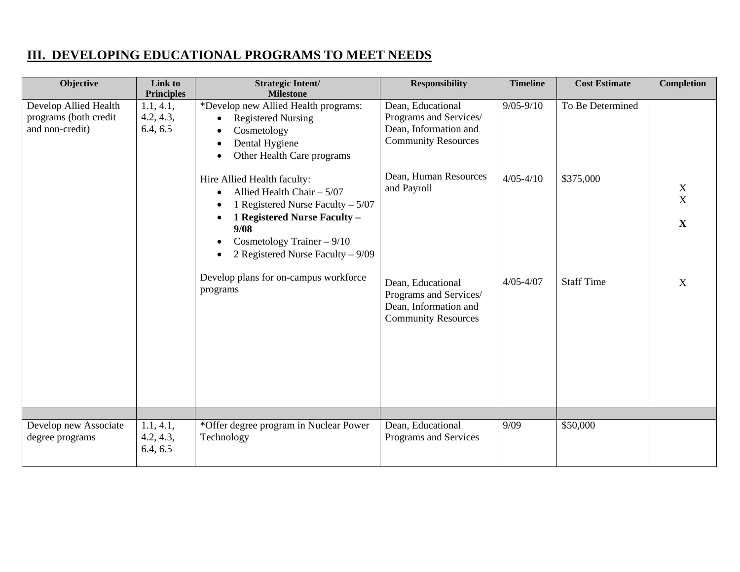### **III. DEVELOPING EDUCATIONAL PROGRAMS TO MEET NEEDS**

| Objective                                                         | Link to<br><b>Principles</b>       | <b>Strategic Intent/</b><br><b>Milestone</b>                                                                                                                                                                                               | <b>Responsibility</b>                                                                              | <b>Timeline</b> | <b>Cost Estimate</b> | <b>Completion</b>     |
|-------------------------------------------------------------------|------------------------------------|--------------------------------------------------------------------------------------------------------------------------------------------------------------------------------------------------------------------------------------------|----------------------------------------------------------------------------------------------------|-----------------|----------------------|-----------------------|
| Develop Allied Health<br>programs (both credit<br>and non-credit) | 1.1, 4.1,<br>4.2, 4.3,<br>6.4, 6.5 | *Develop new Allied Health programs:<br><b>Registered Nursing</b><br>$\bullet$<br>Cosmetology<br>$\bullet$<br>Dental Hygiene<br>$\bullet$<br>Other Health Care programs<br>$\bullet$                                                       | Dean, Educational<br>Programs and Services/<br>Dean, Information and<br><b>Community Resources</b> | $9/05 - 9/10$   | To Be Determined     |                       |
|                                                                   |                                    | Hire Allied Health faculty:<br>Allied Health Chair $-5/07$<br>$\bullet$<br>1 Registered Nurse Faculty $-5/07$<br>1 Registered Nurse Faculty -<br>$\bullet$<br>9/08<br>Cosmetology Trainer - 9/10<br>٠<br>2 Registered Nurse Faculty – 9/09 | Dean, Human Resources<br>and Payroll                                                               | $4/05 - 4/10$   | \$375,000            | X<br>X<br>$\mathbf X$ |
|                                                                   |                                    | Develop plans for on-campus workforce<br>programs                                                                                                                                                                                          | Dean, Educational<br>Programs and Services/<br>Dean, Information and<br><b>Community Resources</b> | $4/05 - 4/07$   | <b>Staff Time</b>    | X                     |
|                                                                   |                                    |                                                                                                                                                                                                                                            |                                                                                                    |                 |                      |                       |
| Develop new Associate<br>degree programs                          | 1.1, 4.1,<br>4.2, 4.3,<br>6.4, 6.5 | *Offer degree program in Nuclear Power<br>Technology                                                                                                                                                                                       | Dean, Educational<br>Programs and Services                                                         | 9/09            | \$50,000             |                       |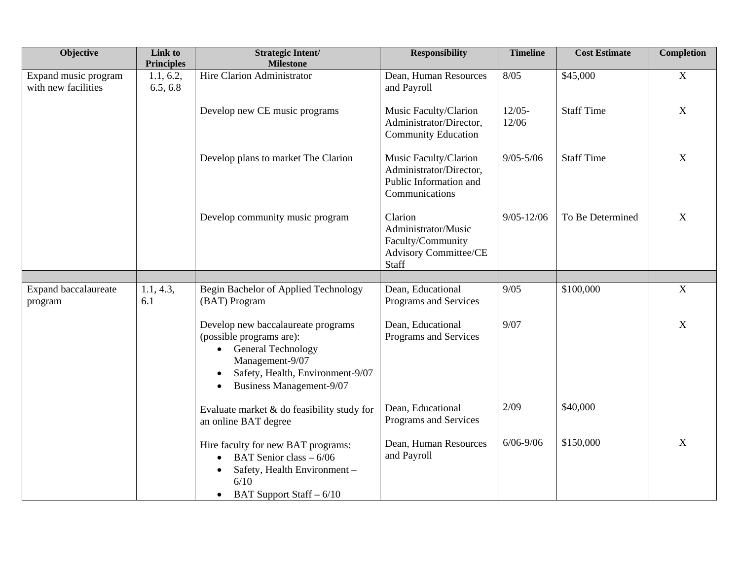| Objective                                   | Link to<br><b>Principles</b> | <b>Strategic Intent/</b><br><b>Milestone</b>                                                                                                                                                  | <b>Responsibility</b>                                                                        | <b>Timeline</b>    | <b>Cost Estimate</b> | <b>Completion</b> |
|---------------------------------------------|------------------------------|-----------------------------------------------------------------------------------------------------------------------------------------------------------------------------------------------|----------------------------------------------------------------------------------------------|--------------------|----------------------|-------------------|
| Expand music program<br>with new facilities | 1.1, 6.2,<br>6.5, 6.8        | Hire Clarion Administrator                                                                                                                                                                    | Dean, Human Resources<br>and Payroll                                                         | 8/05               | \$45,000             | $\overline{X}$    |
|                                             |                              | Develop new CE music programs                                                                                                                                                                 | Music Faculty/Clarion<br>Administrator/Director,<br><b>Community Education</b>               | $12/05 -$<br>12/06 | <b>Staff Time</b>    | $\mathbf X$       |
|                                             |                              | Develop plans to market The Clarion                                                                                                                                                           | Music Faculty/Clarion<br>Administrator/Director,<br>Public Information and<br>Communications | $9/05 - 5/06$      | <b>Staff Time</b>    | $\mathbf X$       |
|                                             |                              | Develop community music program                                                                                                                                                               | Clarion<br>Administrator/Music<br>Faculty/Community<br>Advisory Committee/CE<br>Staff        | $9/05 - 12/06$     | To Be Determined     | $\boldsymbol{X}$  |
|                                             |                              |                                                                                                                                                                                               |                                                                                              |                    |                      |                   |
| <b>Expand baccalaureate</b><br>program      | 1.1, 4.3,<br>6.1             | Begin Bachelor of Applied Technology<br>(BAT) Program                                                                                                                                         | Dean, Educational<br>Programs and Services                                                   | 9/05               | \$100,000            | $\mathbf X$       |
|                                             |                              | Develop new baccalaureate programs<br>(possible programs are):<br>• General Technology<br>Management-9/07<br>Safety, Health, Environment-9/07<br><b>Business Management-9/07</b><br>$\bullet$ | Dean, Educational<br>Programs and Services                                                   | 9/07               |                      | $\mathbf X$       |
|                                             |                              | Evaluate market & do feasibility study for<br>an online BAT degree                                                                                                                            | Dean, Educational<br>Programs and Services                                                   | 2/09               | \$40,000             |                   |
|                                             |                              | Hire faculty for new BAT programs:<br>BAT Senior class - 6/06<br>$\bullet$<br>Safety, Health Environment -<br>6/10<br>BAT Support Staff – 6/10<br>$\bullet$                                   | Dean, Human Resources<br>and Payroll                                                         | $6/06 - 9/06$      | \$150,000            | X                 |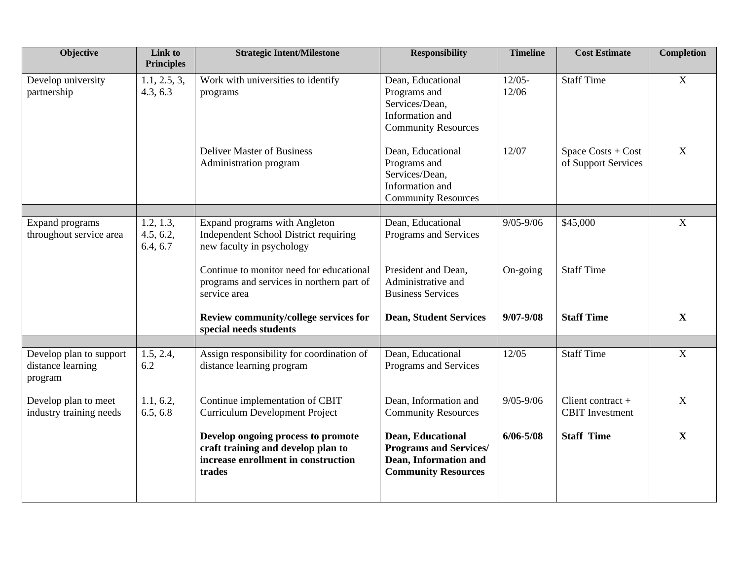| <b>Objective</b>                                        | Link to<br><b>Principles</b>       | <b>Strategic Intent/Milestone</b>                                                                                         | <b>Responsibility</b>                                                                                     | <b>Timeline</b>    | <b>Cost Estimate</b>                          | <b>Completion</b> |
|---------------------------------------------------------|------------------------------------|---------------------------------------------------------------------------------------------------------------------------|-----------------------------------------------------------------------------------------------------------|--------------------|-----------------------------------------------|-------------------|
| Develop university<br>partnership                       | 1.1, 2.5, 3,<br>4.3, 6.3           | Work with universities to identify<br>programs                                                                            | Dean, Educational<br>Programs and<br>Services/Dean,<br>Information and<br><b>Community Resources</b>      | $12/05 -$<br>12/06 | <b>Staff Time</b>                             | $\mathbf X$       |
|                                                         |                                    | <b>Deliver Master of Business</b><br>Administration program                                                               | Dean, Educational<br>Programs and<br>Services/Dean,<br>Information and<br><b>Community Resources</b>      | 12/07              | Space Costs + Cost<br>of Support Services     | X                 |
|                                                         |                                    |                                                                                                                           |                                                                                                           |                    |                                               |                   |
| <b>Expand programs</b><br>throughout service area       | 1.2, 1.3,<br>4.5, 6.2,<br>6.4, 6.7 | Expand programs with Angleton<br>Independent School District requiring<br>new faculty in psychology                       | Dean, Educational<br>Programs and Services                                                                | $9/05 - 9/06$      | \$45,000                                      | $\mathbf X$       |
|                                                         |                                    | Continue to monitor need for educational<br>programs and services in northern part of<br>service area                     | President and Dean,<br>Administrative and<br><b>Business Services</b>                                     | On-going           | <b>Staff Time</b>                             |                   |
|                                                         |                                    | Review community/college services for<br>special needs students                                                           | <b>Dean, Student Services</b>                                                                             | $9/07 - 9/08$      | <b>Staff Time</b>                             | $\mathbf X$       |
|                                                         |                                    |                                                                                                                           |                                                                                                           |                    |                                               |                   |
| Develop plan to support<br>distance learning<br>program | 1.5, 2.4,<br>6.2                   | Assign responsibility for coordination of<br>distance learning program                                                    | Dean, Educational<br>Programs and Services                                                                | 12/05              | <b>Staff Time</b>                             | $\mathbf X$       |
| Develop plan to meet<br>industry training needs         | 1.1, 6.2,<br>6.5, 6.8              | Continue implementation of CBIT<br><b>Curriculum Development Project</b>                                                  | Dean, Information and<br><b>Community Resources</b>                                                       | $9/05 - 9/06$      | Client contract $+$<br><b>CBIT</b> Investment | $\mathbf X$       |
|                                                         |                                    | Develop ongoing process to promote<br>craft training and develop plan to<br>increase enrollment in construction<br>trades | Dean, Educational<br><b>Programs and Services/</b><br>Dean, Information and<br><b>Community Resources</b> | $6/06 - 5/08$      | <b>Staff Time</b>                             | $\mathbf X$       |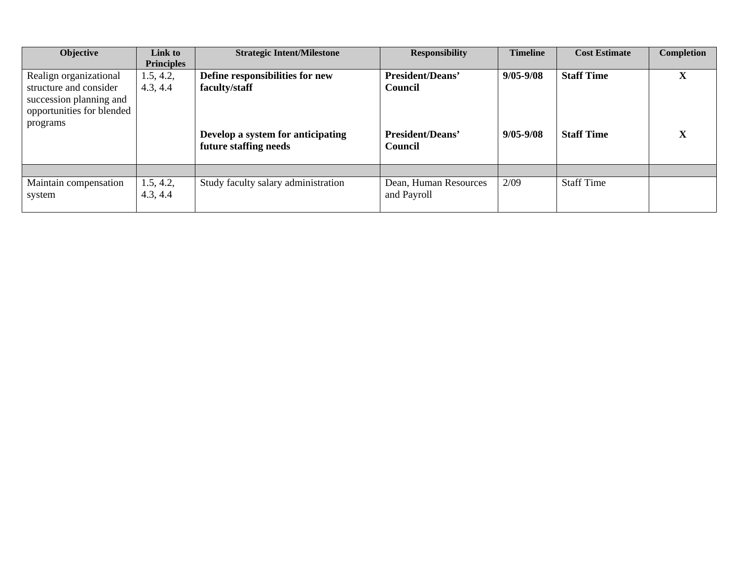| Objective                 | Link to           | <b>Strategic Intent/Milestone</b>   | <b>Responsibility</b>   | <b>Timeline</b> | <b>Cost Estimate</b> | <b>Completion</b> |
|---------------------------|-------------------|-------------------------------------|-------------------------|-----------------|----------------------|-------------------|
|                           | <b>Principles</b> |                                     |                         |                 |                      |                   |
| Realign organizational    | 1.5, 4.2,         | Define responsibilities for new     | President/Deans'        | $9/05 - 9/08$   | <b>Staff Time</b>    | л                 |
| structure and consider    | 4.3, 4.4          | faculty/staff                       | Council                 |                 |                      |                   |
| succession planning and   |                   |                                     |                         |                 |                      |                   |
| opportunities for blended |                   |                                     |                         |                 |                      |                   |
| programs                  |                   |                                     |                         |                 |                      |                   |
|                           |                   | Develop a system for anticipating   | <b>President/Deans'</b> | $9/05 - 9/08$   | <b>Staff Time</b>    | A                 |
|                           |                   | future staffing needs               | Council                 |                 |                      |                   |
|                           |                   |                                     |                         |                 |                      |                   |
| Maintain compensation     | 1.5, 4.2,         | Study faculty salary administration | Dean, Human Resources   | 2/09            | <b>Staff Time</b>    |                   |
| system                    | 4.3, 4.4          |                                     | and Payroll             |                 |                      |                   |
|                           |                   |                                     |                         |                 |                      |                   |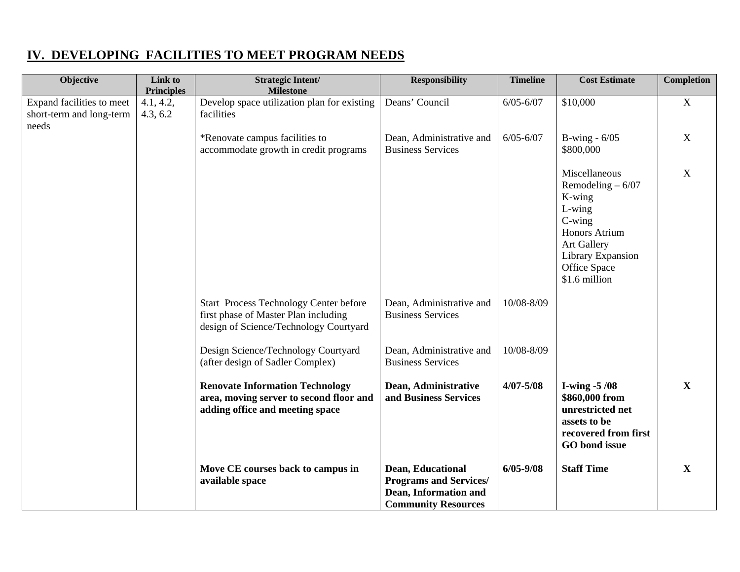## **IV. DEVELOPING FACILITIES TO MEET PROGRAM NEEDS**

| Objective                                                      | Link to<br><b>Principles</b> | <b>Strategic Intent/</b><br><b>Milestone</b>                                                                                    | <b>Responsibility</b>                                                                                     | <b>Timeline</b> | <b>Cost Estimate</b>                                                                                                                                                             | <b>Completion</b> |
|----------------------------------------------------------------|------------------------------|---------------------------------------------------------------------------------------------------------------------------------|-----------------------------------------------------------------------------------------------------------|-----------------|----------------------------------------------------------------------------------------------------------------------------------------------------------------------------------|-------------------|
| Expand facilities to meet<br>short-term and long-term<br>needs | 4.1, 4.2,<br>4.3, 6.2        | Develop space utilization plan for existing<br>facilities                                                                       | Deans' Council                                                                                            | $6/05 - 6/07$   | \$10,000                                                                                                                                                                         | $\mathbf X$       |
|                                                                |                              | *Renovate campus facilities to<br>accommodate growth in credit programs                                                         | Dean, Administrative and<br><b>Business Services</b>                                                      | $6/05 - 6/07$   | B-wing - $6/05$<br>\$800,000                                                                                                                                                     | $\mathbf X$       |
|                                                                |                              |                                                                                                                                 |                                                                                                           |                 | Miscellaneous<br>Remodeling $-6/07$<br>K-wing<br>$L\text{-wing}$<br>$C\text{-wing}$<br>Honors Atrium<br><b>Art Gallery</b><br>Library Expansion<br>Office Space<br>\$1.6 million | $\mathbf X$       |
|                                                                |                              | <b>Start Process Technology Center before</b><br>first phase of Master Plan including<br>design of Science/Technology Courtyard | Dean, Administrative and<br><b>Business Services</b>                                                      | 10/08-8/09      |                                                                                                                                                                                  |                   |
|                                                                |                              | Design Science/Technology Courtyard<br>(after design of Sadler Complex)                                                         | Dean, Administrative and<br><b>Business Services</b>                                                      | 10/08-8/09      |                                                                                                                                                                                  |                   |
|                                                                |                              | <b>Renovate Information Technology</b><br>area, moving server to second floor and<br>adding office and meeting space            | Dean, Administrative<br>and Business Services                                                             | $4/07 - 5/08$   | I-wing $-5/08$<br>\$860,000 from<br>unrestricted net<br>assets to be<br>recovered from first<br>GO bond issue                                                                    | $\mathbf{X}$      |
|                                                                |                              | Move CE courses back to campus in<br>available space                                                                            | Dean, Educational<br><b>Programs and Services/</b><br>Dean, Information and<br><b>Community Resources</b> | $6/05 - 9/08$   | <b>Staff Time</b>                                                                                                                                                                | $\mathbf X$       |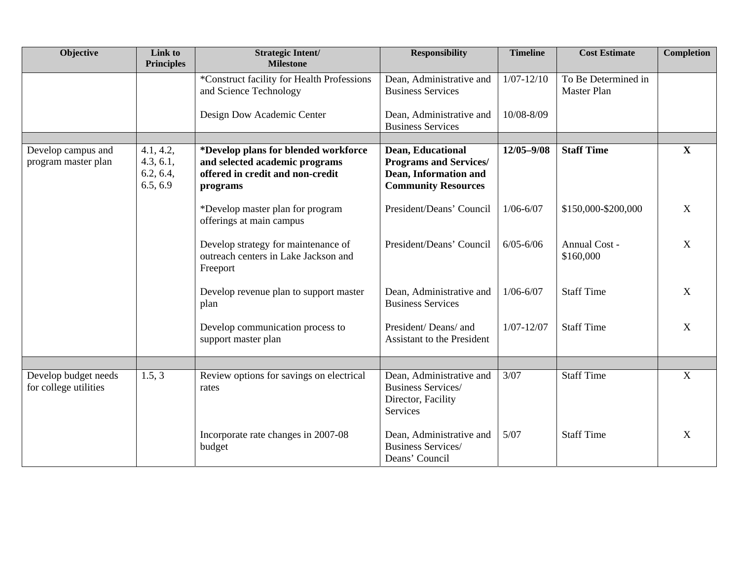| Objective                                     | Link to<br><b>Principles</b>                    | <b>Strategic Intent/</b><br><b>Milestone</b>                                                                           | <b>Responsibility</b>                                                                                     | <b>Timeline</b> | <b>Cost Estimate</b>                      | Completion              |
|-----------------------------------------------|-------------------------------------------------|------------------------------------------------------------------------------------------------------------------------|-----------------------------------------------------------------------------------------------------------|-----------------|-------------------------------------------|-------------------------|
|                                               |                                                 | *Construct facility for Health Professions<br>and Science Technology                                                   | Dean, Administrative and<br><b>Business Services</b>                                                      | $1/07 - 12/10$  | To Be Determined in<br><b>Master Plan</b> |                         |
|                                               |                                                 | Design Dow Academic Center                                                                                             | Dean, Administrative and<br><b>Business Services</b>                                                      | 10/08-8/09      |                                           |                         |
|                                               |                                                 |                                                                                                                        |                                                                                                           |                 |                                           |                         |
| Develop campus and<br>program master plan     | 4.1, 4.2,<br>4.3, 6.1,<br>6.2, 6.4,<br>6.5, 6.9 | *Develop plans for blended workforce<br>and selected academic programs<br>offered in credit and non-credit<br>programs | Dean, Educational<br><b>Programs and Services/</b><br>Dean, Information and<br><b>Community Resources</b> | $12/05 - 9/08$  | <b>Staff Time</b>                         | $\mathbf{X}$            |
|                                               |                                                 | *Develop master plan for program<br>offerings at main campus                                                           | President/Deans' Council                                                                                  | $1/06 - 6/07$   | \$150,000-\$200,000                       | X                       |
|                                               |                                                 | Develop strategy for maintenance of<br>outreach centers in Lake Jackson and<br>Freeport                                | President/Deans' Council                                                                                  | $6/05 - 6/06$   | <b>Annual Cost -</b><br>\$160,000         | $\mathbf X$             |
|                                               |                                                 | Develop revenue plan to support master<br>plan                                                                         | Dean, Administrative and<br><b>Business Services</b>                                                      | $1/06 - 6/07$   | <b>Staff Time</b>                         | $\mathbf X$             |
|                                               |                                                 | Develop communication process to<br>support master plan                                                                | President/Deans/ and<br><b>Assistant to the President</b>                                                 | $1/07 - 12/07$  | <b>Staff Time</b>                         | $\mathbf X$             |
|                                               |                                                 |                                                                                                                        |                                                                                                           |                 |                                           |                         |
| Develop budget needs<br>for college utilities | 1.5, 3                                          | Review options for savings on electrical<br>rates                                                                      | Dean, Administrative and<br><b>Business Services/</b><br>Director, Facility<br>Services                   | 3/07            | <b>Staff Time</b>                         | $\overline{\mathbf{X}}$ |
|                                               |                                                 | Incorporate rate changes in 2007-08<br>budget                                                                          | Dean, Administrative and<br><b>Business Services/</b><br>Deans' Council                                   | 5/07            | <b>Staff Time</b>                         | $\mathbf{X}$            |